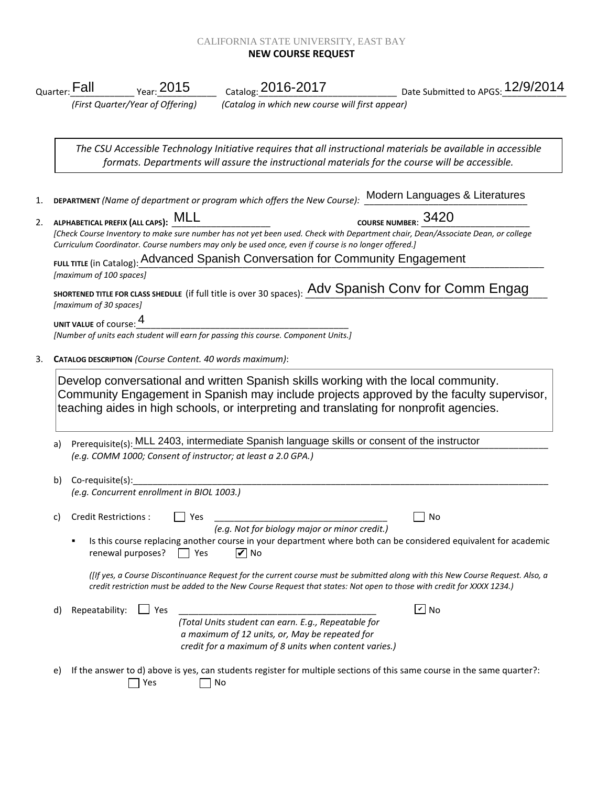## CALIFORNIA STATE UNIVERSITY, EAST BAY **NEW COURSE REQUEST**

|    |                                                                                                                                                           |                                                         |                                                                                                                                                                                                                                                                                                                               | Quarter: Fall Year: 2015 Catalog: 2016-2017 Date Submitted to APGS: 12/9/2014<br>(First Quarter/Year of Offering) (Catalog in which new course will first appear) |  |  |
|----|-----------------------------------------------------------------------------------------------------------------------------------------------------------|---------------------------------------------------------|-------------------------------------------------------------------------------------------------------------------------------------------------------------------------------------------------------------------------------------------------------------------------------------------------------------------------------|-------------------------------------------------------------------------------------------------------------------------------------------------------------------|--|--|
|    |                                                                                                                                                           |                                                         |                                                                                                                                                                                                                                                                                                                               |                                                                                                                                                                   |  |  |
|    |                                                                                                                                                           |                                                         | formats. Departments will assure the instructional materials for the course will be accessible.                                                                                                                                                                                                                               | The CSU Accessible Technology Initiative requires that all instructional materials be available in accessible                                                     |  |  |
|    | DEPARTMENT (Name of department or program which offers the New Course): Modern Languages & Literatures                                                    |                                                         |                                                                                                                                                                                                                                                                                                                               |                                                                                                                                                                   |  |  |
| 2. |                                                                                                                                                           | ALPHABETICAL PREFIX (ALL CAPS): MLL                     | Curriculum Coordinator. Course numbers may only be used once, even if course is no longer offered.]                                                                                                                                                                                                                           | COURSE NUMBER: 3420<br>[Check Course Inventory to make sure number has not yet been used. Check with Department chair, Dean/Associate Dean, or college            |  |  |
|    | <b>FULL TITLE (in Catalog): Advanced Spanish Conversation for Community Engagement</b>                                                                    |                                                         |                                                                                                                                                                                                                                                                                                                               |                                                                                                                                                                   |  |  |
|    | [maximum of 100 spaces]<br>SHORTENED TITLE FOR CLASS SHEDULE (if full title is over 30 spaces): Adv Spanish Conv for Comm Engag<br>[maximum of 30 spaces] |                                                         |                                                                                                                                                                                                                                                                                                                               |                                                                                                                                                                   |  |  |
|    | UNIT VALUE of course: 4                                                                                                                                   |                                                         | UNIT VALUE of course: $\frac{1}{\sqrt{2}}$ and $\frac{1}{\sqrt{2}}$ and $\frac{1}{\sqrt{2}}$ and $\frac{1}{\sqrt{2}}$ and $\frac{1}{\sqrt{2}}$ and $\frac{1}{\sqrt{2}}$ and $\frac{1}{\sqrt{2}}$ and $\frac{1}{\sqrt{2}}$ and $\frac{1}{\sqrt{2}}$ and $\frac{1}{\sqrt{2}}$ and $\frac{1}{\sqrt{2}}$ and $\frac{1}{\sqrt{2}}$ |                                                                                                                                                                   |  |  |
|    |                                                                                                                                                           | CATALOG DESCRIPTION (Course Content. 40 words maximum): |                                                                                                                                                                                                                                                                                                                               |                                                                                                                                                                   |  |  |
|    |                                                                                                                                                           |                                                         | Develop conversational and written Spanish skills working with the local community.<br>teaching aides in high schools, or interpreting and translating for nonprofit agencies.                                                                                                                                                | Community Engagement in Spanish may include projects approved by the faculty supervisor,                                                                          |  |  |
| a) | Prerequisite(s): MLL 2403, intermediate Spanish language skills or consent of the instructor                                                              |                                                         |                                                                                                                                                                                                                                                                                                                               |                                                                                                                                                                   |  |  |
|    |                                                                                                                                                           |                                                         | (e.g. COMM 1000; Consent of instructor; at least a 2.0 GPA.)                                                                                                                                                                                                                                                                  |                                                                                                                                                                   |  |  |
| b) | $Co$ -requisite(s):                                                                                                                                       | (e.g. Concurrent enrollment in BIOL 1003.)              |                                                                                                                                                                                                                                                                                                                               |                                                                                                                                                                   |  |  |
| C) | Credit Restrictions :                                                                                                                                     | Yes                                                     | (e.g. Not for biology major or minor credit.)                                                                                                                                                                                                                                                                                 | No                                                                                                                                                                |  |  |
|    |                                                                                                                                                           | renewal purposes?<br>$ $   Yes                          | $ v $ No                                                                                                                                                                                                                                                                                                                      | Is this course replacing another course in your department where both can be considered equivalent for academic                                                   |  |  |
|    |                                                                                                                                                           |                                                         | credit restriction must be added to the New Course Request that states: Not open to those with credit for XXXX 1234.)                                                                                                                                                                                                         | (If yes, a Course Discontinuance Request for the current course must be submitted along with this New Course Request. Also, a                                     |  |  |
| d) | Repeatability:                                                                                                                                            | Ses                                                     |                                                                                                                                                                                                                                                                                                                               | $\sqrt{2}$ No                                                                                                                                                     |  |  |
|    |                                                                                                                                                           |                                                         | (Total Units student can earn. E.g., Repeatable for<br>a maximum of 12 units, or, May be repeated for<br>credit for a maximum of 8 units when content varies.)                                                                                                                                                                |                                                                                                                                                                   |  |  |
| e) |                                                                                                                                                           |                                                         |                                                                                                                                                                                                                                                                                                                               | If the answer to d) above is yes, can students register for multiple sections of this same course in the same quarter?:                                           |  |  |

■ Yes No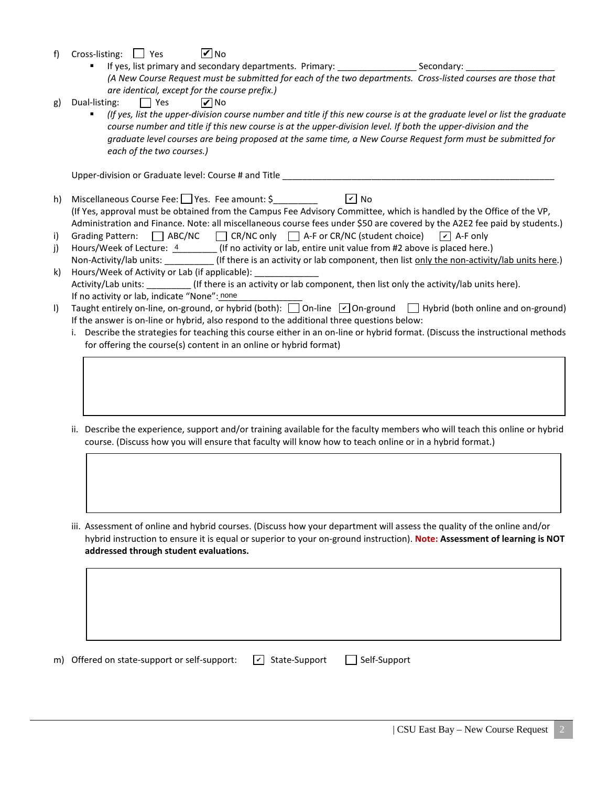- f) Cross-listing:  $\Box$  Yes **V** No
	- If yes, list primary and secondary departments. Primary: \_\_\_\_\_\_\_\_\_\_\_\_\_\_\_\_\_\_\_\_\_\_\_ Secondary: *(A New Course Request must be submitted for each of the two departments. Cross-listed courses are those that are identical, except for the course prefix.)*
- g) Dual-listing:  $\Box$  Yes **⊘**No
	- *(If yes, list the upper-division course number and title if this new course is at the graduate level or list the graduate course number and title if this new course is at the upper-division level. If both the upper-division and the graduate level courses are being proposed at the same time, a New Course Request form must be submitted for each of the two courses.)*

Upper-division or Graduate level: Course # and Title \_\_\_\_\_\_\_\_\_\_\_\_\_\_\_\_\_\_\_\_\_\_\_\_\_\_\_

- h) Miscellaneous Course Fee: Yes. Fee amount: \$ (If Yes, approval must be obtained from the Campus Fee Advisory Committee, which is handled by the Office of the VP, Administration and Finance. Note: all miscellaneous course fees under \$50 are covered by the A2E2 fee paid by students.)  $\sqrt{2}$  No
- i) Grading Pattern:  $\Box$  ABC/NC  $\Box$  CR/NC only  $\Box$  A-F or CR/NC (student choice)  $\sqrt{\phantom{a}}$  A-F only
- j) Hours/Week of Lecture:  $\frac{4}{1}$  (If no activity or lab, entire unit value from #2 above is placed here.) Non-Activity/lab units: \_\_\_\_\_\_\_\_\_\_\_(If there is an activity or lab component, then list only the non-activity/lab units here.)
- k) Hours/Week of Activity or Lab (if applicable): Activity/Lab units: \_\_\_\_\_\_\_\_\_ (If there is an activity or lab component, then list only the activity/lab units here). If no activity or lab, indicate "None": none
- I) Taught entirely on-line, on-ground, or hybrid (both): 0n-line [O] On-ground Hybrid (both online and on-ground) If the answer is on-line or hybrid, also respond to the additional three questions below:
	- i. Describe the strategies for teaching this course either in an on-line or hybrid format. (Discuss the instructional methods for offering the course(s) content in an online or hybrid format)
	- ii. Describe the experience, support and/or training available for the faculty members who will teach this online or hybrid course. (Discuss how you will ensure that faculty will know how to teach online or in a hybrid format.)
	- iii. Assessment of online and hybrid courses. (Discuss how your department will assess the quality of the online and/or hybrid instruction to ensure it is equal or superior to your on-ground instruction). **Note: Assessment of learning is NOT addressed through student evaluations.**

m) Offered on state-support or self-support:  $\boxed{\phantom{s}}$  State-Support  $\boxed{\phantom{s}}$  Self-Support  $\boxed{\mathbf{v}}$  State-Support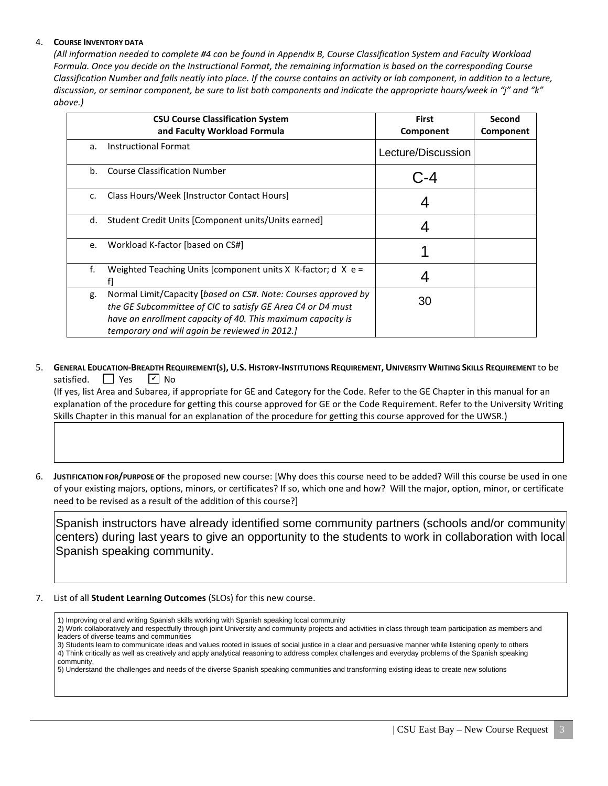## 4. **COURSE INVENTORY DATA**

*(All information needed to complete #4 can be found in Appendix B, Course Classification System and Faculty Workload Formula. Once you decide on the Instructional Format, the remaining information is based on the corresponding Course Classification Number and falls neatly into place. If the course contains an activity or lab component, in addition to a lecture, discussion, or seminar component, be sure to list both components and indicate the appropriate hours/week in "j" and "k" above.)*

|               | <b>CSU Course Classification System</b><br>and Faculty Workload Formula                                                                                                                                                                        | <b>First</b><br>Component | Second<br>Component |
|---------------|------------------------------------------------------------------------------------------------------------------------------------------------------------------------------------------------------------------------------------------------|---------------------------|---------------------|
| a.            | <b>Instructional Format</b>                                                                                                                                                                                                                    | Lecture/Discussion        |                     |
| b.            | <b>Course Classification Number</b>                                                                                                                                                                                                            |                           |                     |
| $C_{\bullet}$ | Class Hours/Week [Instructor Contact Hours]                                                                                                                                                                                                    |                           |                     |
| d.            | Student Credit Units [Component units/Units earned]                                                                                                                                                                                            |                           |                     |
| e.            | Workload K-factor [based on CS#]                                                                                                                                                                                                               |                           |                     |
| f.            | Weighted Teaching Units [component units $X$ K-factor; d $X$ e =                                                                                                                                                                               |                           |                     |
| g.            | Normal Limit/Capacity [based on CS#. Note: Courses approved by<br>the GE Subcommittee of CIC to satisfy GE Area C4 or D4 must<br>have an enrollment capacity of 40. This maximum capacity is<br>temporary and will again be reviewed in 2012.] | 30                        |                     |

5. **GENERAL EDUCATION-BREADTH REQUIREMENT(S), U.S. HISTORY-INSTITUTIONS REQUIREMENT, UNIVERSITY WRITING SKILLS REQUIREMENT** to be satisfied.  $\Box$  Yes  $\sqrt{V}$  No

 (If yes, list Area and Subarea, if appropriate for GE and Category for the Code. Refer to the GE Chapter in this manual for an explanation of the procedure for getting this course approved for GE or the Code Requirement. Refer to the University Writing Skills Chapter in this manual for an explanation of the procedure for getting this course approved for the UWSR.)

6. **JUSTIFICATION FOR/PURPOSE OF** the proposed new course: [Why does this course need to be added? Will this course be used in one of your existing majors, options, minors, or certificates? If so, which one and how? Will the major, option, minor, or certificate need to be revised as a result of the addition of this course?]

Spanish instructors have already identified some community partners (schools and/or community centers) during last years to give an opportunity to the students to work in collaboration with local Spanish speaking community.

7. List of all **Student Learning Outcomes** (SLOs) for this new course.

1) Improving oral and writing Spanish skills working with Spanish speaking local community

2) Work collaboratively and respectfully through joint University and community projects and activities in class through team participation as members and leaders of diverse teams and communities 3) Students learn to communicate ideas and values rooted in issues of social justice in a clear and persuasive manner while listening openly to others

4) Think critically as well as creatively and apply analytical reasoning to address complex challenges and everyday problems of the Spanish speaking community,

5) Understand the challenges and needs of the diverse Spanish speaking communities and transforming existing ideas to create new solutions